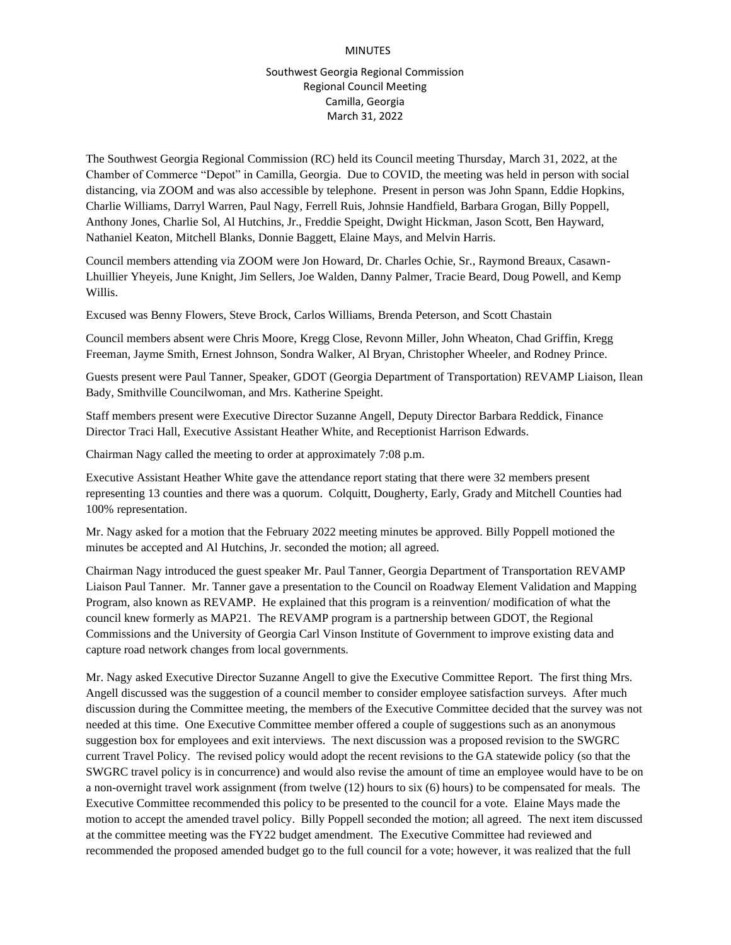## MINUTES

## Southwest Georgia Regional Commission Regional Council Meeting Camilla, Georgia March 31, 2022

The Southwest Georgia Regional Commission (RC) held its Council meeting Thursday, March 31, 2022, at the Chamber of Commerce "Depot" in Camilla, Georgia. Due to COVID, the meeting was held in person with social distancing, via ZOOM and was also accessible by telephone. Present in person was John Spann, Eddie Hopkins, Charlie Williams, Darryl Warren, Paul Nagy, Ferrell Ruis, Johnsie Handfield, Barbara Grogan, Billy Poppell, Anthony Jones, Charlie Sol, Al Hutchins, Jr., Freddie Speight, Dwight Hickman, Jason Scott, Ben Hayward, Nathaniel Keaton, Mitchell Blanks, Donnie Baggett, Elaine Mays, and Melvin Harris.

Council members attending via ZOOM were Jon Howard, Dr. Charles Ochie, Sr., Raymond Breaux, Casawn-Lhuillier Yheyeis, June Knight, Jim Sellers, Joe Walden, Danny Palmer, Tracie Beard, Doug Powell, and Kemp Willis.

Excused was Benny Flowers, Steve Brock, Carlos Williams, Brenda Peterson, and Scott Chastain

Council members absent were Chris Moore, Kregg Close, Revonn Miller, John Wheaton, Chad Griffin, Kregg Freeman, Jayme Smith, Ernest Johnson, Sondra Walker, Al Bryan, Christopher Wheeler, and Rodney Prince.

Guests present were Paul Tanner, Speaker, GDOT (Georgia Department of Transportation) REVAMP Liaison, Ilean Bady, Smithville Councilwoman, and Mrs. Katherine Speight.

Staff members present were Executive Director Suzanne Angell, Deputy Director Barbara Reddick, Finance Director Traci Hall, Executive Assistant Heather White, and Receptionist Harrison Edwards.

Chairman Nagy called the meeting to order at approximately 7:08 p.m.

Executive Assistant Heather White gave the attendance report stating that there were 32 members present representing 13 counties and there was a quorum. Colquitt, Dougherty, Early, Grady and Mitchell Counties had 100% representation.

Mr. Nagy asked for a motion that the February 2022 meeting minutes be approved. Billy Poppell motioned the minutes be accepted and Al Hutchins, Jr. seconded the motion; all agreed.

Chairman Nagy introduced the guest speaker Mr. Paul Tanner, Georgia Department of Transportation REVAMP Liaison Paul Tanner. Mr. Tanner gave a presentation to the Council on Roadway Element Validation and Mapping Program, also known as REVAMP. He explained that this program is a reinvention/ modification of what the council knew formerly as MAP21. The REVAMP program is a partnership between GDOT, the Regional Commissions and the University of Georgia Carl Vinson Institute of Government to improve existing data and capture road network changes from local governments.

Mr. Nagy asked Executive Director Suzanne Angell to give the Executive Committee Report. The first thing Mrs. Angell discussed was the suggestion of a council member to consider employee satisfaction surveys. After much discussion during the Committee meeting, the members of the Executive Committee decided that the survey was not needed at this time. One Executive Committee member offered a couple of suggestions such as an anonymous suggestion box for employees and exit interviews. The next discussion was a proposed revision to the SWGRC current Travel Policy. The revised policy would adopt the recent revisions to the GA statewide policy (so that the SWGRC travel policy is in concurrence) and would also revise the amount of time an employee would have to be on a non-overnight travel work assignment (from twelve (12) hours to six (6) hours) to be compensated for meals. The Executive Committee recommended this policy to be presented to the council for a vote. Elaine Mays made the motion to accept the amended travel policy. Billy Poppell seconded the motion; all agreed. The next item discussed at the committee meeting was the FY22 budget amendment. The Executive Committee had reviewed and recommended the proposed amended budget go to the full council for a vote; however, it was realized that the full